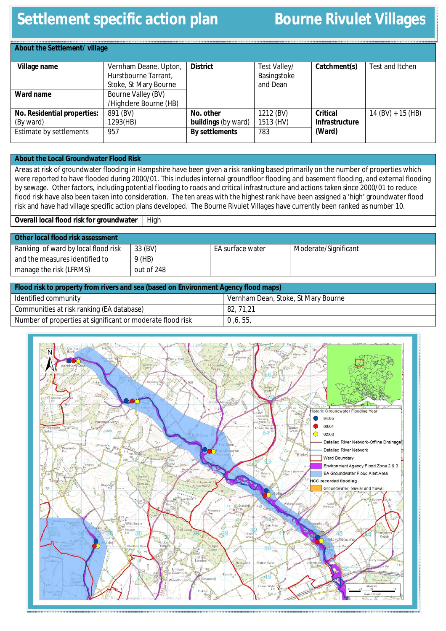# **Settlement specific action plan Bourne Rivulet Villages**

| About the Settlement/ village                                       |                                                                        |                                                                  |                                         |                                                    |                     |
|---------------------------------------------------------------------|------------------------------------------------------------------------|------------------------------------------------------------------|-----------------------------------------|----------------------------------------------------|---------------------|
| Village name                                                        | Vernham Deane, Upton,<br>Hurstbourne Tarrant,<br>Stoke, St Mary Bourne | <b>District</b>                                                  | Test Valley/<br>Basingstoke<br>and Dean | Catchment(s)                                       | Test and Itchen     |
| Ward name                                                           | Bourne Valley (BV)<br>/Highclere Bourne (HB)                           |                                                                  |                                         |                                                    |                     |
| No. Residential properties:<br>(By ward)<br>Estimate by settlements | 891 (BV)<br>1293(HB)<br>957                                            | No. other<br><b>buildings</b> (by ward)<br><b>By settlements</b> | 1212 (BV)<br>1513 (HV)<br>783           | <b>Critical</b><br><b>Infrastructure</b><br>(Ward) | $14 (BV) + 15 (HB)$ |

### **About the Local Groundwater Flood Risk**

Areas at risk of groundwater flooding in Hampshire have been given a risk ranking based primarily on the number of properties which were reported to have flooded during 2000/01. This includes internal groundfloor flooding and basement flooding, and external flooding by sewage. Other factors, including potential flooding to roads and critical infrastructure and actions taken since 2000/01 to reduce flood risk have also been taken into consideration. The ten areas with the highest rank have been assigned a 'high' groundwater flood risk and have had village specific action plans developed. The Bourne Rivulet Villages have currently been ranked as number 10.

**Overall local flood risk for groundwater** | High

| Other local flood risk assessment   |            |                  |                      |
|-------------------------------------|------------|------------------|----------------------|
| Ranking of ward by local flood risk | 33 (BV)    | EA surface water | Moderate/Significant |
| and the measures identified to      | $9$ (HB)   |                  |                      |
| manage the risk (LFRMS)             | out of 248 |                  |                      |
|                                     |            |                  |                      |

| Flood risk to property from rivers and sea (based on Environment Agency flood maps) |                                     |  |  |
|-------------------------------------------------------------------------------------|-------------------------------------|--|--|
| Identified community                                                                | Vernham Dean, Stoke, St Mary Bourne |  |  |
| Communities at risk ranking (EA database)                                           | 82, 71, 21                          |  |  |
| Number of properties at significant or moderate flood risk                          | 0, 6, 55,                           |  |  |

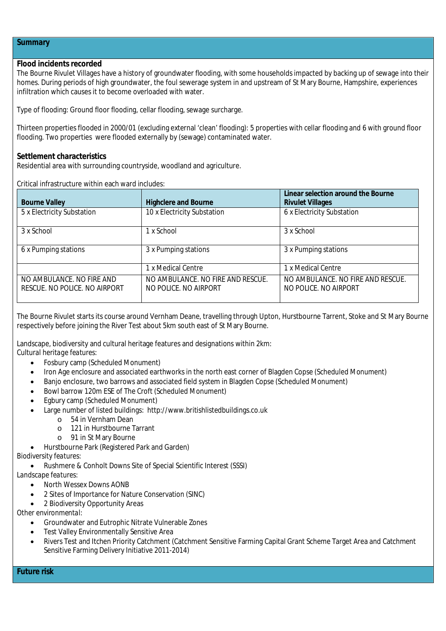#### **Summary**

# **Flood incidents recorded**

The Bourne Rivulet Villages have a history of groundwater flooding, with some households impacted by backing up of sewage into their homes. During periods of high groundwater, the foul sewerage system in and upstream of St Mary Bourne, Hampshire, experiences infiltration which causes it to become overloaded with water.

Type of flooding: Ground floor flooding, cellar flooding, sewage surcharge.

Thirteen properties flooded in 2000/01 (excluding external 'clean' flooding): 5 properties with cellar flooding and 6 with ground floor flooding. Two properties were flooded externally by (sewage) contaminated water.

#### **Settlement characteristics**

Residential area with surrounding countryside, woodland and agriculture.

Critical infrastructure within each ward includes:

| <b>Bourne Valley</b>                                       | <b>Highclere and Bourne</b>                                | Linear selection around the Bourne<br><b>Rivulet Villages</b> |
|------------------------------------------------------------|------------------------------------------------------------|---------------------------------------------------------------|
| 5 x Electricity Substation                                 | 10 x Electricity Substation                                | 6 x Electricity Substation                                    |
| 3 x School                                                 | 1 x School                                                 | 3 x School                                                    |
| 6 x Pumping stations                                       | 3 x Pumping stations                                       | 3 x Pumping stations                                          |
|                                                            | 1 x Medical Centre                                         | 1 x Medical Centre                                            |
| NO AMBULANCE. NO FIRE AND<br>RESCUE. NO POLICE. NO AIRPORT | NO AMBULANCE. NO FIRE AND RESCUE.<br>NO POLICE. NO AIRPORT | NO AMBULANCE. NO FIRE AND RESCUE.<br>NO POLICE. NO AIRPORT    |

The Bourne Rivulet starts its course around Vernham Deane, travelling through Upton, Hurstbourne Tarrent, Stoke and St Mary Bourne respectively before joining the River Test about 5km south east of St Mary Bourne.

Landscape, biodiversity and cultural heritage features and designations within 2km: *Cultural heritage features:*

- Fosbury camp (Scheduled Monument)
- Iron Age enclosure and associated earthworks in the north east corner of Blagden Copse (Scheduled Monument)
- Banjo enclosure, two barrows and associated field system in Blagden Copse (Scheduled Monument)
- Bowl barrow 120m ESE of The Croft (Scheduled Monument)
- Egbury camp (Scheduled Monument)
- Large number of listed buildings: http://www.britishlistedbuildings.co.uk
	- o 54 in Vernham Dean
	- o 121 in Hurstbourne Tarrant
	- o 91 in St Mary Bourne
- Hurstbourne Park (Registered Park and Garden)

## *Biodiversity features:*

Rushmere & Conholt Downs Site of Special Scientific Interest (SSSI)

*Landscape features:*

- North Wessex Downs AONB
- 2 Sites of Importance for Nature Conservation (SINC)
- 2 Biodiversity Opportunity Areas

*Other environmental:*

- Groundwater and Eutrophic Nitrate Vulnerable Zones
- Test Valley Environmentally Sensitive Area
- Rivers Test and Itchen Priority Catchment (Catchment Sensitive Farming Capital Grant Scheme Target Area and Catchment Sensitive Farming Delivery Initiative 2011-2014)

**Future risk**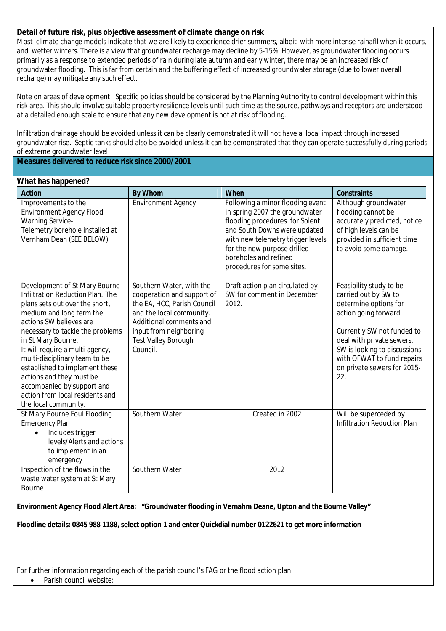## **Detail of future risk, plus objective assessment of climate change on risk**

Most climate change models indicate that we are likely to experience drier summers, albeit with more intense rainafll when it occurs, and wetter winters. There is a view that groundwater recharge may decline by 5-15%. However, as groundwater flooding occurs primarily as a response to extended periods of rain during late autumn and early winter, there may be an increased risk of groundwater flooding. This is far from certain and the buffering effect of increased groundwater storage (due to lower overall recharge) may mitigate any such effect.

Note on areas of development: Specific policies should be considered by the Planning Authority to control development within this risk area. This should involve suitable property resilience levels until such time as the source, pathways and receptors are understood at a detailed enough scale to ensure that any new development is not at risk of flooding.

Infiltration drainage should be avoided unless it can be clearly demonstrated it will not have a local impact through increased groundwater rise. Septic tanks should also be avoided unless it can be demonstrated that they can operate successfully during periods of extreme groundwater level.

**Measures delivered to reduce risk since 2000/2001**

#### **What has happened?**

| <b>Action</b>                                                                                                                                                                                                                                                                                                                                                                                                                                   | <b>By Whom</b>                                                                                                                                                                                                   | <b>When</b>                                                                                                                                                                                                                                                     | <b>Constraints</b>                                                                                                                                                                                                                                               |
|-------------------------------------------------------------------------------------------------------------------------------------------------------------------------------------------------------------------------------------------------------------------------------------------------------------------------------------------------------------------------------------------------------------------------------------------------|------------------------------------------------------------------------------------------------------------------------------------------------------------------------------------------------------------------|-----------------------------------------------------------------------------------------------------------------------------------------------------------------------------------------------------------------------------------------------------------------|------------------------------------------------------------------------------------------------------------------------------------------------------------------------------------------------------------------------------------------------------------------|
| Improvements to the<br><b>Environment Agency Flood</b><br><b>Warning Service-</b><br>Telemetry borehole installed at<br>Vernham Dean (SEE BELOW)                                                                                                                                                                                                                                                                                                | <b>Environment Agency</b>                                                                                                                                                                                        | Following a minor flooding event<br>in spring 2007 the groundwater<br>flooding procedures for Solent<br>and South Downs were updated<br>with new telemetry trigger levels<br>for the new purpose drilled<br>boreholes and refined<br>procedures for some sites. | Although groundwater<br>flooding cannot be<br>accurately predicted, notice<br>of high levels can be<br>provided in sufficient time<br>to avoid some damage.                                                                                                      |
| Development of St Mary Bourne<br>Infiltration Reduction Plan. The<br>plans sets out over the short,<br>medium and long term the<br>actions SW believes are<br>necessary to tackle the problems<br>in St Mary Bourne.<br>It will require a multi-agency,<br>multi-disciplinary team to be<br>established to implement these<br>actions and they must be<br>accompanied by support and<br>action from local residents and<br>the local community. | Southern Water, with the<br>cooperation and support of<br>the EA, HCC, Parish Council<br>and the local community.<br>Additional comments and<br>input from neighboring<br><b>Test Valley Borough</b><br>Council. | Draft action plan circulated by<br>SW for comment in December<br>2012.                                                                                                                                                                                          | Feasibility study to be<br>carried out by SW to<br>determine options for<br>action going forward.<br>Currently SW not funded to<br>deal with private sewers.<br>SW is looking to discussions<br>with OFWAT to fund repairs<br>on private sewers for 2015-<br>22. |
| St Mary Bourne Foul Flooding<br><b>Emergency Plan</b><br>Includes trigger<br>$\bullet$<br>levels/Alerts and actions<br>to implement in an<br>emergency                                                                                                                                                                                                                                                                                          | Southern Water                                                                                                                                                                                                   | Created in 2002                                                                                                                                                                                                                                                 | Will be superceded by<br><b>Infiltration Reduction Plan</b>                                                                                                                                                                                                      |
| Inspection of the flows in the<br>waste water system at St Mary<br>Bourne                                                                                                                                                                                                                                                                                                                                                                       | Southern Water                                                                                                                                                                                                   | 2012                                                                                                                                                                                                                                                            |                                                                                                                                                                                                                                                                  |

**Environment Agency Flood Alert Area: "Groundwater flooding in Vernahm Deane, Upton and the Bourne Valley"**

**Floodline details: 0845 988 1188, select option 1 and enter Quickdial number 0122621 to get more information**

For further information regarding each of the parish council's FAG or the flood action plan:

Parish council website: